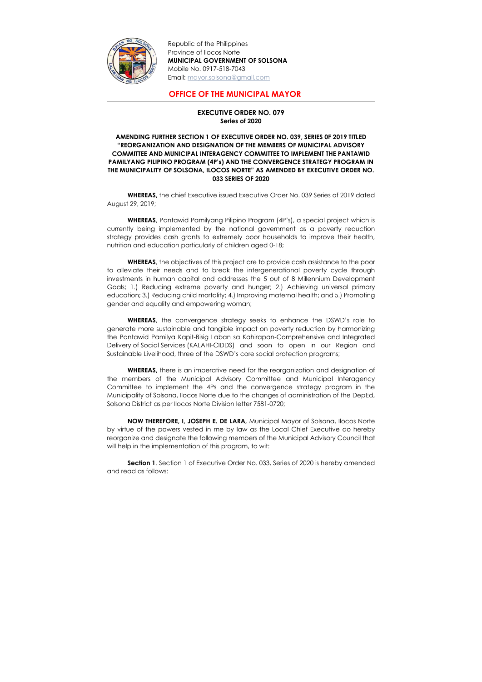

Republic of the Philippines Province of Ilocos Norte MUNICIPAL GOVERNMENT OF SOLSONA Mobile No. 0917-518-7043 Email: mayor.solsona@gmail.com

## OFFICE OF THE MUNICIPAL MAYOR

## EXECUTIVE ORDER NO. 079 Series of 2020

## AMENDING FURTHER SECTION 1 OF EXECUTIVE ORDER NO. 039, SERIES 0F 2019 TITLED "REORGANIZATION AND DESIGNATION OF THE MEMBERS OF MUNICIPAL ADVISORY COMMITTEE AND MUNICIPAL INTERAGENCY COMMITTEE TO IMPLEMENT THE PANTAWID PAMILYANG PILIPINO PROGRAM (4P's) AND THE CONVERGENCE STRATEGY PROGRAM IN THE MUNICIPALITY OF SOLSONA, ILOCOS NORTE" AS AMENDED BY EXECUTIVE ORDER NO. 033 SERIES OF 2020

WHEREAS, the chief Executive issued Executive Order No. 039 Series of 2019 dated August 29, 2019;

WHEREAS, the objectives of this project are to provide cash assistance to the poor to alleviate their needs and to break the intergenerational poverty cycle through investments in human capital and addresses the 5 out of 8 Millennium Development Goals; 1.) Reducing extreme poverty and hunger; 2.) Achieving universal primary education; 3.) Reducing child mortality; 4.) Improving maternal health; and 5.) Promoting gender and equality and empowering woman;

WHEREAS, Pantawid Pamilyang Pilipino Program (4P's), a special project which is currently being implemented by the national government as a poverty reduction strategy provides cash grants to extremely poor households to improve their health, nutrition and education particularly of children aged 0-18;

**WHEREAS**, the convergence strategy seeks to enhance the DSWD's role to generate more sustainable and tangible impact on poverty reduction by harmonizing the Pantawid Pamilya Kapit-Bisig Laban sa Kahirapan-Comprehensive and Integrated Delivery of Social Services (KALAHI-CIDDS) and soon to open in our Region and Sustainable Livelihood, three of the DSWD's core social protection programs;

NOW THEREFORE, I, JOSEPH E. DE LARA, Municipal Mayor of Solsona, Ilocos Norte by virtue of the powers vested in me by law as the Local Chief Executive do hereby reorganize and designate the following members of the Municipal Advisory Council that will help in the implementation of this program, to wit:

**Section 1.** Section 1 of Executive Order No. 033, Series of 2020 is hereby amended and read as follows:

WHEREAS, there is an imperative need for the reorganization and designation of the members of the Municipal Advisory Committee and Municipal Interagency Committee to implement the 4Ps and the convergence strategy program in the Municipality of Solsona, Ilocos Norte due to the changes of administration of the DepEd, Solsona District as per Ilocos Norte Division letter 7581-0720;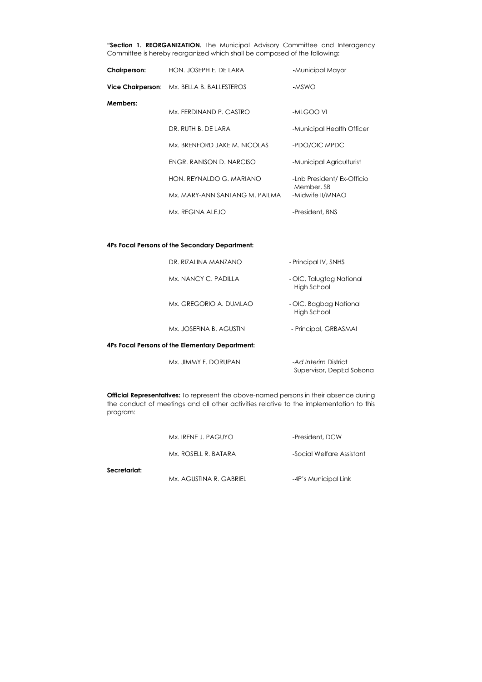"Section 1. REORGANIZATION. The Municipal Advisory Committee and Interagency Committee is hereby reorganized which shall be composed of the following:

| <b>Chairperson:</b> | HON. JOSEPH E. DE LARA                     | -Municipal Mayor                         |
|---------------------|--------------------------------------------|------------------------------------------|
|                     | Vice Chairperson: Mx. BELLA B. BALLESTEROS | $-MSWO$                                  |
| <b>Members:</b>     |                                            |                                          |
|                     | Mx. FERDINAND P. CASTRO                    | -MLGOO VI                                |
|                     | DR. RUTH B. DE LARA                        | -Municipal Health Officer                |
|                     | Mx. BRENFORD JAKE M. NICOLAS               | -PDO/OIC MPDC                            |
|                     | ENGR. RANISON D. NARCISO                   | -Municipal Agriculturist                 |
|                     | HON, REYNALDO G. MARIANO                   | -Lnb President/ Ex-Officio<br>Member, SB |
|                     | Mx. MARY-ANN SANTANG M. PAILMA             | -Midwife II/MNAO                         |
|                     | Mx. REGINA ALEJO                           | -President, BNS                          |

**Official Representatives:** To represent the above-named persons in their absence during the conduct of meetings and all other activities relative to the implementation to this program:

## 4Ps Focal Persons of the Secondary Department:

|                                                        | DR. RIZALINA MANZANO    | - Principal IV, SNHS                    |  |  |
|--------------------------------------------------------|-------------------------|-----------------------------------------|--|--|
|                                                        | Mx. NANCY C. PADILLA    | - OIC, Talugtog National<br>High School |  |  |
|                                                        | Mx. GREGORIO A. DUMI AO | - OIC, Bagbag National<br>High School   |  |  |
|                                                        | Mx. JOSEFINA B. AGUSTIN | - Principal, GRBASMAI                   |  |  |
| <b>4Ps Focal Persons of the Elementary Department:</b> |                         |                                         |  |  |
|                                                        | Mx. JIMMY F. DORUPAN    | -Ad Interim District                    |  |  |

Supervisor, DepEd Solsona

| Mx. IRENE J. PAGUYO  | -President, DCW           |
|----------------------|---------------------------|
| Mx. ROSELL R. BATARA | -Social Welfare Assistant |

Secretariat:

Mx. AGUSTINA R. GABRIEL -4P's Municipal Link